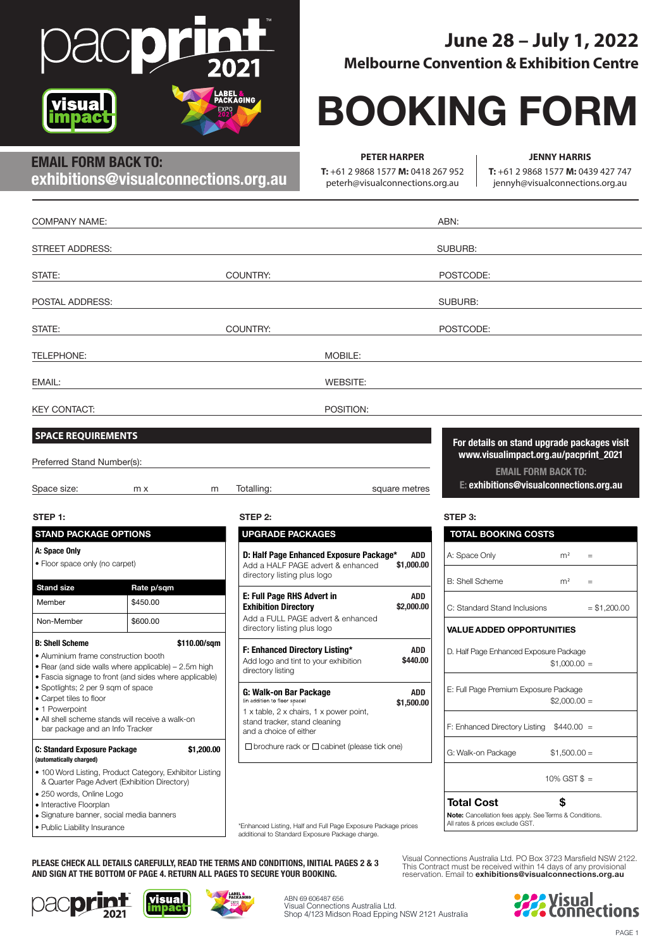

# **June 28 – July 1, 2022 Melbourne Convention & Exhibition Centre**

# **BOOKING FORM**

# **EMAIL FORM BACK TO: exhibitions@visualconnections.org.au**

**PETER HARPER**

**T:** +61 2 9868 1577 **M:** 0418 267 952 peterh@visualconnections.org.au

**JENNY HARRIS**

**T:** +61 2 9868 1577 **M:** 0439 427 747 jennyh@visualconnections.org.au

| <b>COMPANY NAME:</b>                                                                                                                                                                             |   | ABN:                                                                                                                             |                                                                                           |
|--------------------------------------------------------------------------------------------------------------------------------------------------------------------------------------------------|---|----------------------------------------------------------------------------------------------------------------------------------|-------------------------------------------------------------------------------------------|
| STREET ADDRESS:                                                                                                                                                                                  |   |                                                                                                                                  | SUBURB:                                                                                   |
| STATE:                                                                                                                                                                                           |   | COUNTRY:                                                                                                                         | POSTCODE:                                                                                 |
| POSTAL ADDRESS:                                                                                                                                                                                  |   |                                                                                                                                  | SUBURB:                                                                                   |
| STATE:                                                                                                                                                                                           |   | COUNTRY:                                                                                                                         | POSTCODE:                                                                                 |
| TELEPHONE:                                                                                                                                                                                       |   | MOBILE:                                                                                                                          |                                                                                           |
| EMAIL:                                                                                                                                                                                           |   | <b>WEBSITE:</b>                                                                                                                  |                                                                                           |
| <b>KEY CONTACT:</b>                                                                                                                                                                              |   | POSITION:                                                                                                                        |                                                                                           |
| <b>SPACE REQUIREMENTS</b><br>Preferred Stand Number(s):                                                                                                                                          |   |                                                                                                                                  | For details on stand upgrade packages visit<br>www.visualimpact.org.au/pacprint_2021      |
| Space size:<br>m x                                                                                                                                                                               | m | Totalling:<br>square metres                                                                                                      | <b>EMAIL FORM BACK TO:</b><br>E: exhibitions@visualconnections.org.au                     |
| STEP 1:                                                                                                                                                                                          |   | STEP 2:                                                                                                                          | STEP 3:                                                                                   |
| <b>STAND PACKAGE OPTIONS</b>                                                                                                                                                                     |   | <b>UPGRADE PACKAGES</b>                                                                                                          | <b>TOTAL BOOKING COSTS</b>                                                                |
| A: Space Only<br>• Floor space only (no carpet)                                                                                                                                                  |   | D: Half Page Enhanced Exposure Package*<br>ADD<br>Add a HALF PAGE advert & enhanced<br>\$1,000.00<br>directory listing plus logo | A: Space Only<br>m <sup>2</sup><br>$=$                                                    |
| <b>Stand size</b><br>Rate p/sqm                                                                                                                                                                  |   |                                                                                                                                  | <b>B: Shell Scheme</b><br>m <sup>2</sup><br>$=$                                           |
| \$450.00<br>Member                                                                                                                                                                               |   | E: Full Page RHS Advert in<br><b>ADD</b><br><b>Exhibition Directory</b><br>\$2,000.00                                            | C: Standard Stand Inclusions<br>$= $1,200.00$                                             |
| Non-Member<br>\$600.00                                                                                                                                                                           |   | Add a FULL PAGE advert & enhanced<br>directory listing plus logo                                                                 | <b>VALUE ADDED OPPORTUNITIES</b>                                                          |
| <b>B: Shell Scheme</b><br>\$110.00/sqm<br>• Aluminium frame construction booth<br>• Rear (and side walls where applicable) – 2.5m high<br>• Fascia signage to front (and sides where applicable) |   | F: Enhanced Directory Listing*<br>ADD<br>\$440.00<br>Add logo and tint to your exhibition<br>directory listing                   | D. Half Page Enhanced Exposure Package<br>$$1,000.00 =$                                   |
| • Spotlights; 2 per 9 sqm of space<br>• Carpet tiles to floor<br>• 1 Powerpoint                                                                                                                  |   | G: Walk-on Bar Package<br><b>ADD</b><br>(in addition to floor space)<br>\$1,500.00                                               | E: Full Page Premium Exposure Package<br>$$2,000.00 =$                                    |
| • All shell scheme stands will receive a walk-on<br>bar package and an Info Tracker                                                                                                              |   | 1 x table, 2 x chairs, 1 x power point,<br>stand tracker, stand cleaning<br>and a choice of either                               | F: Enhanced Directory Listing $$440.00 =$                                                 |
| C: Standard Exposure Package<br>\$1,200.00<br>(automatically charged)<br>. 100 Word Listing, Product Category, Exhibitor Listing<br>& Quarter Page Advert (Exhibition Directory)                 |   | $\Box$ brochure rack or $\Box$ cabinet (please tick one)                                                                         | $$1,500.00 =$<br>G: Walk-on Package                                                       |
|                                                                                                                                                                                                  |   |                                                                                                                                  | 10% GST $$ =$                                                                             |
| · 250 words, Online Logo<br>• Interactive Floorplan                                                                                                                                              |   |                                                                                                                                  | \$<br><b>Total Cost</b>                                                                   |
| · Signature banner, social media banners<br>• Public Liability Insurance                                                                                                                         |   | *Enhanced Listing, Half and Full Page Exposure Package prices                                                                    | Note: Cancellation fees apply. See Terms & Conditions.<br>All rates & prices exclude GST. |

• Public Liability Insurance

Visual Connections Australia Ltd. PO Box 3723 Marsfield NSW 2122. This Contract must be received within 14 days of any provisional reservation. Email to **exhibitions@visualconnections.org.au**



**PLEASE CHECK ALL DETAILS CAREFULLY, READ THE TERMS AND CONDITIONS, INITIAL PAGES 2 & 3 AND SIGN AT THE BOTTOM OF PAGE 4. RETURN ALL PAGES TO SECURE YOUR BOOKING.**







additional to Standard Exposure Package charge.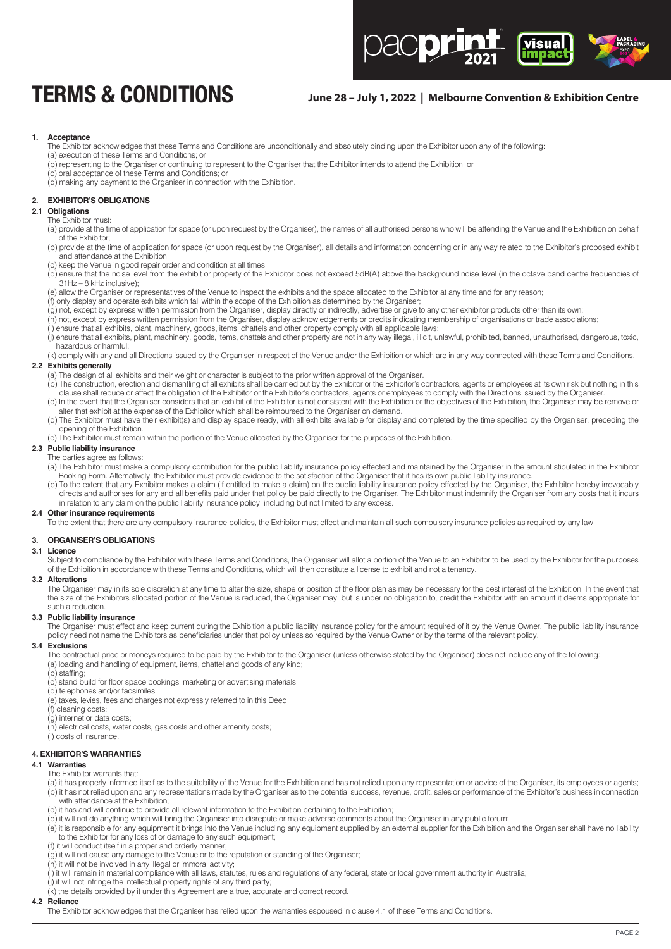

# **TERMS & CONDITIONS June 28 – July 1, 2022 | Melbourne Convention & Exhibition Centre**

#### **1. Acceptance**

 The Exhibitor acknowledges that these Terms and Conditions are unconditionally and absolutely binding upon the Exhibitor upon any of the following: (a) execution of these Terms and Conditions; or

(b) representing to the Organiser or continuing to represent to the Organiser that the Exhibitor intends to attend the Exhibition; or

(c) oral acceptance of these Terms and Conditions; or (d) making any payment to the Organiser in connection with the Exhibition.

#### **2. EXHIBITOR'S OBLIGATIONS**

# **2.1 Obligations**

#### The Exhibitor must:

(a) provide at the time of application for space (or upon request by the Organiser), the names of all authorised persons who will be attending the Venue and the Exhibition on behalf of the Exhibitor;

(b) provide at the time of application for space (or upon request by the Organiser), all details and information concerning or in any way related to the Exhibitor's proposed exhibit and attendance at the Exhibition;

- (c) keep the Venue in good repair order and condition at all times;
- (d) ensure that the noise level from the exhibit or property of the Exhibitor does not exceed 5dB(A) above the background noise level (in the octave band centre frequencies of 31Hz – 8 kHz inclusive);

(e) allow the Organiser or representatives of the Venue to inspect the exhibits and the space allocated to the Exhibitor at any time and for any reason;

(f) only display and operate exhibits which fall within the scope of the Exhibition as determined by the Organiser;

(g) not, except by express written permission from the Organiser, display directly or indirectly, advertise or give to any other exhibitor products other than its own;

(h) not, except by express written permission from the Organiser, display acknowledgements or credits indicating membership of organisations or trade associations;

(i) ensure that all exhibits, plant, machinery, goods, items, chattels and other property comply with all applicable laws;

(j) ensure that all exhibits, plant, machinery, goods, items, chattels and other property are not in any way illegal, illicit, unlawful, prohibited, banned, unauthorised, dangerous, toxic, hazardous or harmful;

(k) comply with any and all Directions issued by the Organiser in respect of the Venue and/or the Exhibition or which are in any way connected with these Terms and Conditions. **2.2 Exhibits generally**

- (a) The design of all exhibits and their weight or character is subject to the prior written approval of the Organiser.
- (b) The construction, erection and dismantling of all exhibits shall be carried out by the Exhibitor or the Exhibitor's contractors, agents or employees at its own risk but nothing in this clause shall reduce or affect the obligation of the Exhibitor or the Exhibitor's contractors, agents or employees to comply with the Directions issued by the Organiser. (c) In the event that the Organiser considers that an exhibit of the Exhibitor is not consistent with the Exhibition or the objectives of the Exhibition, the Organiser may be remove or (c) In the event that the Organiser c
- alter that exhibit at the expense of the Exhibitor which shall be reimbursed to the Organiser on demand.
- (d) The Exhibitor must have their exhibit(s) and display space ready, with all exhibits available for display and completed by the time specified by the Organiser, preceding the opening of the Exhibition.

(e) The Exhibitor must remain within the portion of the Venue allocated by the Organiser for the purposes of the Exhibition.

#### **2.3 Public liability insurance**

The parties agree as follows:

(a) The Exhibitor must make a compulsory contribution for the public liability insurance policy effected and maintained by the Organiser in the amount stipulated in the Exhibitor Booking Form. Alternatively, the Exhibitor must provide evidence to the satisfaction of the Organiser that it has its own public liability insurance.

(b) To the extent that any Exhibitor makes a claim (if entitled to make a claim) on the public liability insurance policy effected by the Organiser, the Exhibitor hereby irrevocably directs and authorises for any and all benefits paid under that policy be paid directly to the Organiser. The Exhibitor must indemnify the Organiser from any costs that it incurs in relation to any claim on the public liability insurance policy, including but not limited to any excess.

# **2.4 Other insurance requirements**

To the extent that there are any compulsory insurance policies, the Exhibitor must effect and maintain all such compulsory insurance policies as required by any law.

# **3. ORGANISER'S OBLIGATIONS**

## **3.1 Licence**

Subject to compliance by the Exhibitor with these Terms and Conditions, the Organiser will allot a portion of the Venue to an Exhibitor to be used by the Exhibitor for the purposes of the Exhibition in accordance with these Terms and Conditions, which will then constitute a license to exhibit and not a tenancy.

#### **3.2 Alterations**

The Organiser may in its sole discretion at any time to alter the size, shape or position of the floor plan as may be necessary for the best interest of the Exhibition. In the event that the size of the Exhibitors allocated portion of the Venue is reduced, the Organiser may, but is under no obligation to, credit the Exhibitor with an amount it deems appropriate for such a reduction

#### **3.3 Public liability insurance**

The Organiser must effect and keep current during the Exhibition a public liability insurance policy for the amount required of it by the Venue Owner. The public liability insurance policy need not name the Exhibitors as beneficiaries under that policy unless so required by the Venue Owner or by the terms of the relevant policy.

# **3.4 Exclusions**

 The contractual price or moneys required to be paid by the Exhibitor to the Organiser (unless otherwise stated by the Organiser) does not include any of the following: (a) loading and handling of equipment, items, chattel and goods of any kind;

 (b) staffing;

 (c) stand build for floor space bookings; marketing or advertising materials,

(d) telephones and/or facsimiles;

(e) taxes, levies, fees and charges not expressly referred to in this Deed

- (f) cleaning costs;
- (g) internet or data costs;
- (h) electrical costs, water costs, gas costs and other amenity costs;

(i) costs of insurance.

#### **4. EXHIBITOR'S WARRANTIES**

#### **4.1 Warranties**

The Exhibitor warrants that:

- (a) it has properly informed itself as to the suitability of the Venue for the Exhibition and has not relied upon any representation or advice of the Organiser, its employees or agents; (b) it has not relied upon and any representations made by the Organiser as to the potential success, revenue, profit, sales or performance of the Exhibitor's business in connection with attendance at the Exhibition;
- (c) it has and will continue to provide all relevant information to the Exhibition pertaining to the Exhibition;
- (d) it will not do anything which will bring the Organiser into disrepute or make adverse comments about the Organiser in any public forum;
- (e) it is responsible for any equipment it brings into the Venue including any equipment supplied by an external supplier for the Exhibition and the Organiser shall have no liability to the Exhibitor for any loss of or damage to any such equipment;
- (f) it will conduct itself in a proper and orderly manner;
- (g) it will not cause any damage to the Venue or to the reputation or standing of the Organiser;
- (h) it will not be involved in any illegal or immoral activity;
- (i) it will remain in material compliance with all laws, statutes, rules and regulations of any federal, state or local government authority in Australia;
- (j) it will not infringe the intellectual property rights of any third party;
- (k) the details provided by it under this Agreement are a true, accurate and correct record.

# **4.2 Reliance**

The Exhibitor acknowledges that the Organiser has relied upon the warranties espoused in clause 4.1 of these Terms and Conditions.

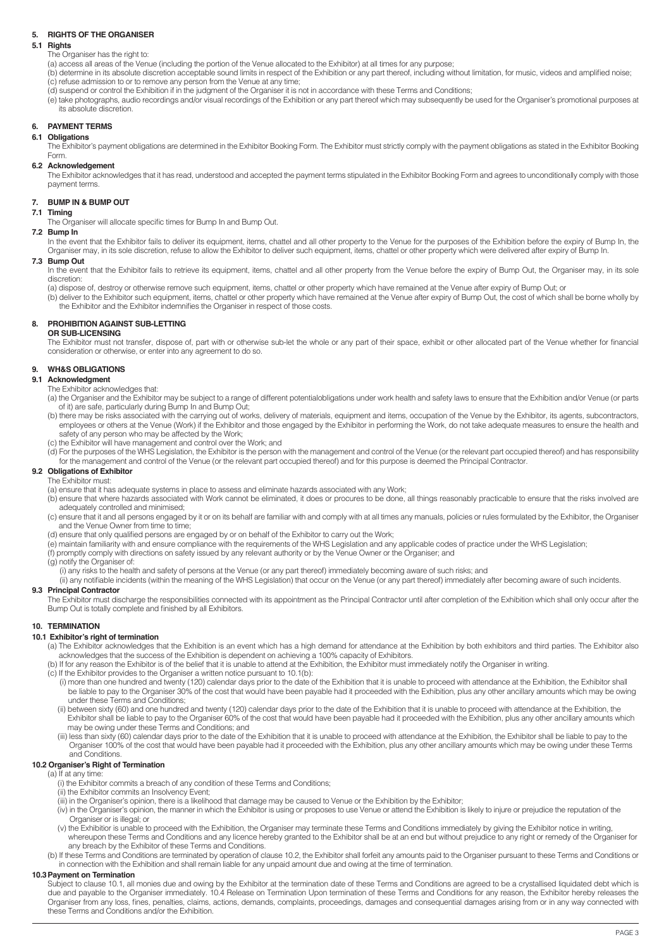# **5. RIGHTS OF THE ORGANISER**

# **5.1 Rights**

The Organiser has the right to:

(a) access all areas of the Venue (including the portion of the Venue allocated to the Exhibitor) at all times for any purpose;

 (b) determine in its absolute discretion acceptable sound limits in respect of the Exhibition or any part thereof, including without limitation, for music, videos and amplified noise; (c) refuse admission to or to remove any person from the Venue at any time;

(d) suspend or control the Exhibition if in the judgment of the Organiser it is not in accordance with these Terms and Conditions;

(e) take photographs, audio recordings and/or visual recordings of the Exhibition or any part thereof which may subsequently be used for the Organiser's promotional purposes at its absolute discretion.

## **6. PAYMENT TERMS**

#### **6.1 Obligations**

 The Exhibitor's payment obligations are determined in the Exhibitor Booking Form. The Exhibitor must strictly comply with the payment obligations as stated in the Exhibitor Booking Form.

# **6.2 Acknowledgement**

The Exhibitor acknowledges that it has read, understood and accepted the payment terms stipulated in the Exhibitor Booking Form and agrees to unconditionally comply with those payment terms.

# **7. BUMP IN & BUMP OUT**

# **7.1 Timing**

The Organiser will allocate specific times for Bump In and Bump Out.

**7.2 Bump In** In the event that the Exhibitor fails to deliver its equipment, items, chattel and all other property to the Venue for the purposes of the Exhibition before the expiry of Bump In, the Organiser may, in its sole discretion, refuse to allow the Exhibitor to deliver such equipment, items, chattel or other property which were delivered after expiry of Bump In.

#### **7.3 Bump Out**

In the event that the Exhibitor fails to retrieve its equipment, items, chattel and all other property from the Venue before the expiry of Bump Out, the Organiser may, in its sole discretion:

(a) dispose of, destroy or otherwise remove such equipment, items, chattel or other property which have remained at the Venue after expiry of Bump Out; or

(b) deliver to the Exhibitor such equipment, items, chattel or other property which have remained at the Venue after expiry of Bump Out, the cost of which shall be borne wholly by the Exhibitor and the Exhibitor indemnifies the Organiser in respect of those costs.

#### **8. PROHIBITION AGAINST SUB-LETTING**

**OR SUB-LICENSING**

The Exhibitor must not transfer, dispose of, part with or otherwise sub-let the whole or any part of their space, exhibit or other allocated part of the Venue whether for financial consideration or otherwise, or enter into any agreement to do so.

# **9. WH&S OBLIGATIONS**

# **9.1 Acknowledgment**

- The Exhibitor acknowledges that:
- (a) the Organiser and the Exhibitor may be subject to a range of different potentialobligations under work health and safety laws to ensure that the Exhibition and/or Venue (or parts of it) are safe, particularly during Bump In and Bump Out;
- (b) there may be risks associated with the carrying out of works, delivery of materials, equipment and items, occupation of the Venue by the Exhibitor, its agents, subcontractors, employees or others at the Venue (Work) if the Exhibitor and those engaged by the Exhibitor in performing the Work, do not take adequate measures to ensure the health and safety of any person who may be affected by the Work;
- (c) the Exhibitor will have management and control over the Work; and
- (d) For the purposes of the WHS Legislation, the Exhibitor is the person with the management and control of the Venue (or the relevant part occupied thereof) and has responsibility
- for the management and control of the Venue (or the relevant part occupied thereof) and for this purpose is deemed the Principal Contractor.

#### **9.2 Obligations of Exhibitor** The Exhibitor must:

(a) ensure that it has adequate systems in place to assess and eliminate hazards associated with any Work;

- (b) ensure that where hazards associated with Work cannot be eliminated, it does or procures to be done, all things reasonably practicable to ensure that the risks involved are adequately controlled and minimised;
- (c) ensure that it and all persons engaged by it or on its behalf are familiar with and comply with at all times any manuals, policies or rules formulated by the Exhibitor, the Organiser and the Venue Owner from time to time;
- (d) ensure that only qualified persons are engaged by or on behalf of the Exhibitor to carry out the Work;
- (e) maintain familiarity with and ensure compliance with the requirements of the WHS Legislation and any applicable codes of practice under the WHS Legislation;
- (f) promptly comply with directions on safety issued by any relevant authority or by the Venue Owner or the Organiser; and

# (g) notify the Organiser of:

- (i) any risks to the health and safety of persons at the Venue (or any part thereof) immediately becoming aware of such risks; and
- (ii) any notifiable incidents (within the meaning of the WHS Legislation) that occur on the Venue (or any part thereof) immediately after becoming aware of such incidents.

#### **9.3 Principal Contractor**

The Exhibitor must discharge the responsibilities connected with its appointment as the Principal Contractor until after completion of the Exhibition which shall only occur after the Bump Out is totally complete and finished by all Exhibitors.

#### **10. TERMINATION**

# **10.1 Exhibitor's right of termination**

- (a) The Exhibitor acknowledges that the Exhibition is an event which has a high demand for attendance at the Exhibition by both exhibitors and third parties. The Exhibitor also
- acknowledges that the success of the Exhibition is dependent on achieving a 100% capacity of Exhibitors.<br>(b) If for any reason the Exhibitor is of the belief that it is unable to attend at the Exhibition, the Exhibitor mus
- (c) If the Exhibitor provides to the Organiser a written notice pursuant to 10.1(b):
	- (i) more than one hundred and twenty (120) calendar days prior to the date of the Exhibition that it is unable to proceed with attendance at the Exhibition, the Exhibitor shall be liable to pay to the Organiser 30% of the cost that would have been payable had it proceeded with the Exhibition, plus any other ancillary amounts which may be owing under these Terms and Conditions;
	- (ii) between sixty (60) and one hundred and twenty (120) calendar days prior to the date of the Exhibition that it is unable to proceed with attendance at the Exhibition, the Exhibitor shall be liable to pay to the Organiser 60% of the cost that would have been payable had it proceeded with the Exhibition, plus any other ancillary amounts which may be owing under these Terms and Conditions; and
	- (iii) less than sixty (60) calendar days prior to the date of the Exhibition that it is unable to proceed with attendance at the Exhibition, the Exhibitor shall be liable to pay to the Organiser 100% of the cost that would have been payable had it proceeded with the Exhibition, plus any other ancillary amounts which may be owing under these Terms and Conditions.

# **10.2 Organiser's Right of Termination**

# (a) If at any time

- (i) the Exhibitor commits a breach of any condition of these Terms and Conditions;
- 
- (ii) the Exhibitor commits an Insolvency Event; (iii) in the Organiser's opinion, there is a likelihood that damage may be caused to Venue or the Exhibition by the Exhibitor;
	- (iv) in the Organiser's opinion, the manner in which the Exhibitor is using or proposes to use Venue or attend the Exhibition is likely to injure or prejudice the reputation of the Organiser or is illegal; or
	- (v) the Exhibitior is unable to proceed with the Exhibition, the Organiser may terminate these Terms and Conditions immediately by giving the Exhibitor notice in writing, whereupon these Terms and Conditions and any licence hereby granted to the Exhibitor shall be at an end but without prejudice to any right or remedy of the Organiser for any breach by the Exhibitor of these Terms and Conditions.

(b) If these Terms and Conditions are terminated by operation of clause 10.2, the Exhibitor shall forfeit any amounts paid to the Organiser pursuant to these Terms and Conditions or in connection with the Exhibition and shall remain liable for any unpaid amount due and owing at the time of termination.

#### **10.3Payment on Termination**

Subject to clause 10.1, all monies due and owing by the Exhibitor at the termination date of these Terms and Conditions are agreed to be a crystallised liquidated debt which is due and payable to the Organiser immediately. 10.4 Release on Termination Upon termination of these Terms and Conditions for any reason, the Exhibitor hereby releases the Organiser from any loss, fines, penalties, claims, actions, demands, complaints, proceedings, damages and consequential damages arising from or in any way connected with these Terms and Conditions and/or the Exhibition.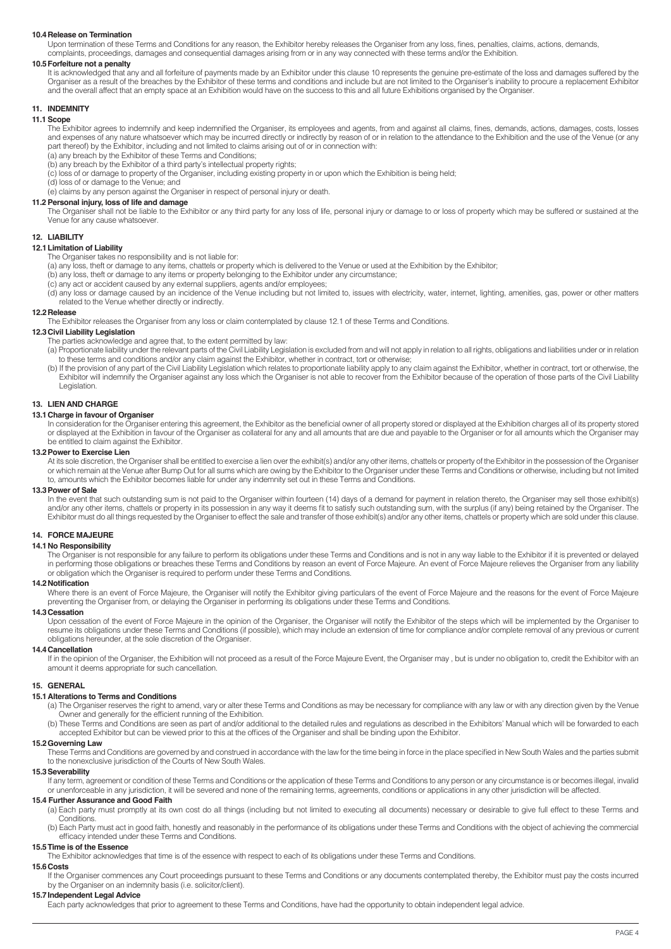# **10.4 Release on Termination**

Upon termination of these Terms and Conditions for any reason, the Exhibitor hereby releases the Organiser from any loss, fines, penalties, claims, actions, demands, complaints, proceedings, damages and consequential damages arising from or in any way connected with these terms and/or the Exhibition.

#### **10.5 Forfeiture not a penalty**

It is acknowledged that any and all forfeiture of payments made by an Exhibitor under this clause 10 represents the genuine pre-estimate of the loss and damages suffered by the Organiser as a result of the breaches by the Exhibitor of these terms and conditions and include but are not limited to the Organiser's inability to procure a replacement Exhibitor and the overall affect that an empty space at an Exhibition would have on the success to this and all future Exhibitions organised by the Organiser.

# **11. INDEMNITY**

#### **11.1 Scope**

The Exhibitor agrees to indemnify and keep indemnified the Organiser, its employees and agents, from and against all claims, fines, demands, actions, damages, costs, losses and expenses of any nature whatsoever which may be incurred directly or indirectly by reason of or in relation to the attendance to the Exhibition and the use of the Venue (or any part thereof) by the Exhibitor, including and not limited to claims arising out of or in connection with:

- (a) any breach by the Exhibitor of these Terms and Conditions;
- (b) any breach by the Exhibitor of a third party's intellectual property rights;

(c) loss of or damage to property of the Organiser, including existing property in or upon which the Exhibition is being held;

(d) loss of or damage to the Venue; and

(e) claims by any person against the Organiser in respect of personal injury or death.

# **11.2 Personal injury, loss of life and damage**

The Organiser shall not be liable to the Exhibitor or any third party for any loss of life, personal injury or damage to or loss of property which may be suffered or sustained at the Venue for any cause whatsoever.

# **12. LIABILITY**

#### **12.1 Limitation of Liability**

The Organiser takes no responsibility and is not liable for:

- (a) any loss, theft or damage to any items, chattels or property which is delivered to the Venue or used at the Exhibition by the Exhibitor;
- (b) any loss, theft or damage to any items or property belonging to the Exhibitor under any circumstance;
- (c) any act or accident caused by any external suppliers, agents and/or employees;
- (d) any loss or damage caused by an incidence of the Venue including but not limited to, issues with electricity, water, internet, lighting, amenities, gas, power or other matters related to the Venue whether directly or indirectly.

#### **12.2Release**

The Exhibitor releases the Organiser from any loss or claim contemplated by clause 12.1 of these Terms and Conditions.

# **12.3 Civil Liability Legislation**

The parties acknowledge and agree that, to the extent permitted by law:

- (a) Proportionate liability under the relevant parts of the Civil Liability Legislation is excluded from and will not apply in relation to all rights, obligations and liabilities under or in relation to these terms and conditions and/or any claim against the Exhibitor, whether in contract, tort or otherwise
- (b) If the provision of any part of the Civil Liability Legislation which relates to proportionate liability apply to any claim against the Exhibitor, whether in contract, tort or otherwise, the Exhibitor will indemnify the Organiser against any loss which the Organiser is not able to recover from the Exhibitor because of the operation of those parts of the Civil Liability Legislation.

#### **13. LIEN AND CHARGE**

# **13.1 Charge in favour of Organiser**

In consideration for the Organiser entering this agreement, the Exhibitor as the beneficial owner of all property stored or displayed at the Exhibition charges all of its property stored or displayed at the Exhibition in favour of the Organiser as collateral for any and all amounts that are due and payable to the Organiser or for all amounts which the Organiser may be entitled to claim against the Exhibitor.

#### **13.2 Power to Exercise Lien**

 At its sole discretion, the Organiser shall be entitled to exercise a lien over the exhibit(s) and/or any other items, chattels or property of the Exhibitor in the possession of the Organiser or which remain at the Venue after Bump Out for all sums which are owing by the Exhibitor to the Organiser under these Terms and Conditions or otherwise, including but not limited to, amounts which the Exhibitor becomes liable for under any indemnity set out in these Terms and Conditions.

#### **13.3 Power of Sale**

In the event that such outstanding sum is not paid to the Organiser within fourteen (14) days of a demand for payment in relation thereto, the Organiser may sell those exhibit(s) and/or any other items, chattels or property in its possession in any way it deems fit to satisfy such outstanding sum, with the surplus (if any) being retained by the Organiser. The Exhibitor must do all things requested by the Organiser to effect the sale and transfer of those exhibit(s) and/or any other items, chattels or property which are sold under this clause.

## **14. FORCE MAJEURE**

#### **14.1 No Responsibility**

 The Organiser is not responsible for any failure to perform its obligations under these Terms and Conditions and is not in any way liable to the Exhibitor if it is prevented or delayed in performing those obligations or breaches these Terms and Conditions by reason an event of Force Majeure. An event of Force Majeure relieves the Organiser from any liability or obligation which the Organiser is required to perform under these Terms and Conditions.

# **14.2 Notification**

 Where there is an event of Force Majeure, the Organiser will notify the Exhibitor giving particulars of the event of Force Majeure and the reasons for the event of Force Majeure preventing the Organiser from, or delaying the Organiser in performing its obligations under these Terms and Conditions.

#### **14.3 Cessation**

Upon cessation of the event of Force Majeure in the opinion of the Organiser, the Organiser will notify the Exhibitor of the steps which will be implemented by the Organiser to resume its obligations under these Terms and Conditions (if possible), which may include an extension of time for compliance and/or complete removal of any previous or current obligations hereunder, at the sole discretion of the Organiser.

#### **14.4 Cancellation**

If in the opinion of the Organiser, the Exhibition will not proceed as a result of the Force Majeure Event, the Organiser may, but is under no obligation to, credit the Exhibitor with an amount it deems appropriate for such cancellation.

#### **15. GENERAL**

# **15.1 Alterations to Terms and Conditions**

- (a) The Organiser reserves the right to amend, vary or alter these Terms and Conditions as may be necessary for compliance with any law or with any direction given by the Venue Owner and generally for the efficient running of the Exhibition.
- (b) These Terms and Conditions are seen as part of and/or additional to the detailed rules and regulations as described in the Exhibitors' Manual which will be forwarded to each accepted Exhibitor but can be viewed prior to this at the offices of the Organiser and shall be binding upon the Exhibitor.

#### **15.2 Governing Law**

These Terms and Conditions are governed by and construed in accordance with the law for the time being in force in the place specified in New South Wales and the parties submit to the nonexclusive jurisdiction of the Courts of New South Wales.

#### **15.3 Severability**

 If any term, agreement or condition of these Terms and Conditions or the application of these Terms and Conditions to any person or any circumstance is or becomes illegal, invalid or unenforceable in any jurisdiction, it will be severed and none of the remaining terms, agreements, conditions or applications in any other jurisdiction will be affected.

#### **15.4 Further Assurance and Good Faith**

(a) Each party must promptly at its own cost do all things (including but not limited to executing all documents) necessary or desirable to give full effect to these Terms and Conditions.

(b) Each Party must act in good faith, honestly and reasonably in the performance of its obligations under these Terms and Conditions with the object of achieving the commercial efficacy intended under these Terms and Conditions.

# **15.5Time is of the Essence**

The Exhibitor acknowledges that time is of the essence with respect to each of its obligations under these Terms and Conditions.

#### **15.6 Costs**

 If the Organiser commences any Court proceedings pursuant to these Terms and Conditions or any documents contemplated thereby, the Exhibitor must pay the costs incurred by the Organiser on an indemnity basis (i.e. solicitor/client).

# **15.7 Independent Legal Advice**

Each party acknowledges that prior to agreement to these Terms and Conditions, have had the opportunity to obtain independent legal advice.